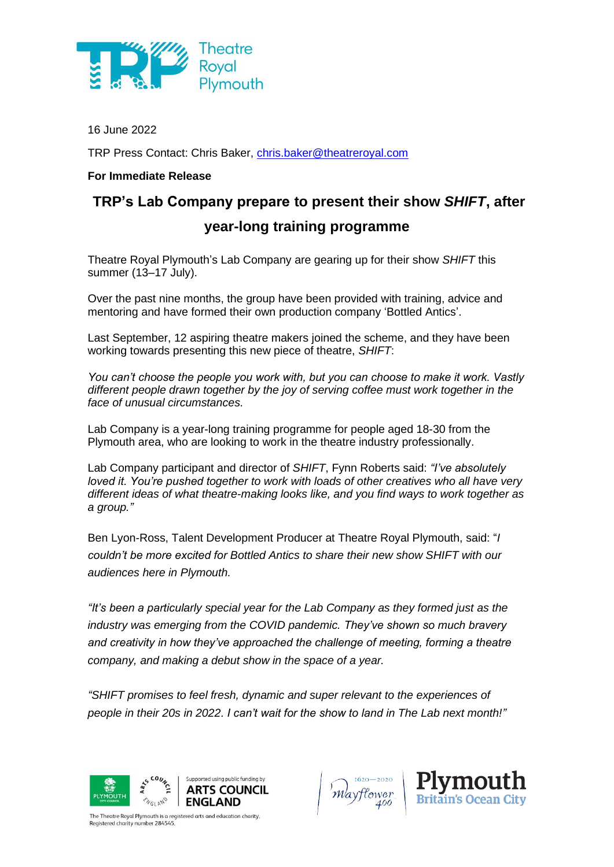

16 June 2022

TRP Press Contact: Chris Baker, [chris.baker@theatreroyal.com](mailto:chris.baker@theatreroyal.com)

## **For Immediate Release**

# **TRP's Lab Company prepare to present their show** *SHIFT***, after**

# **year-long training programme**

Theatre Royal Plymouth's Lab Company are gearing up for their show *SHIFT* this summer (13–17 July).

Over the past nine months, the group have been provided with training, advice and mentoring and have formed their own production company 'Bottled Antics'.

Last September, 12 aspiring theatre makers joined the scheme, and they have been working towards presenting this new piece of theatre, *SHIFT*:

*You can't choose the people you work with, but you can choose to make it work. Vastly different people drawn together by the joy of serving coffee must work together in the face of unusual circumstances.*

Lab Company is a year-long training programme for people aged 18-30 from the Plymouth area, who are looking to work in the theatre industry professionally.

Lab Company participant and director of *SHIFT*, Fynn Roberts said: *"I've absolutely loved it. You're pushed together to work with loads of other creatives who all have very different ideas of what theatre-making looks like, and you find ways to work together as a group."*

Ben Lyon-Ross, Talent Development Producer at Theatre Royal Plymouth, said: "*I couldn't be more excited for Bottled Antics to share their new show SHIFT with our audiences here in Plymouth.* 

*"It's been a particularly special year for the Lab Company as they formed just as the industry was emerging from the COVID pandemic. They've shown so much bravery and creativity in how they've approached the challenge of meeting, forming a theatre company, and making a debut show in the space of a year.* 

*"SHIFT promises to feel fresh, dynamic and super relevant to the experiences of people in their 20s in 2022. I can't wait for the show to land in The Lab next month!"*







The Theatre Royal Plymouth is a registered arts and education charity. egistered charity number 284545